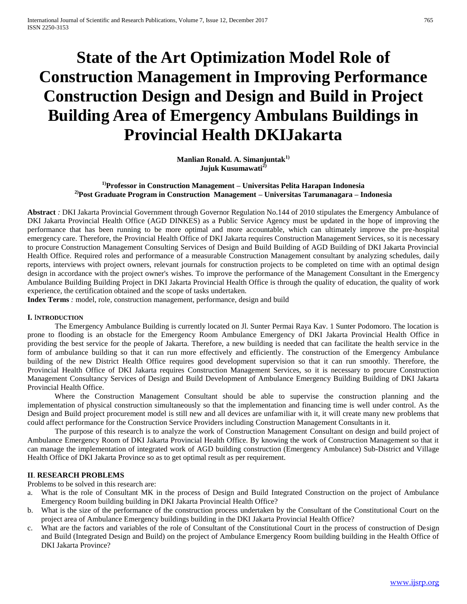# **State of the Art Optimization Model Role of Construction Management in Improving Performance Construction Design and Design and Build in Project Building Area of Emergency Ambulans Buildings in Provincial Health DKIJakarta**

**Manlian Ronald. A. Simanjuntak1) Jujuk Kusumawati2)**

# **1)Professor in Construction Management – Universitas Pelita Harapan Indonesia 2)Post Graduate Program in Construction Management – Universitas Tarumanagara – Indonesia**

**Abstract** *:* DKI Jakarta Provincial Government through Governor Regulation No.144 of 2010 stipulates the Emergency Ambulance of DKI Jakarta Provincial Health Office (AGD DINKES) as a Public Service Agency must be updated in the hope of improving the performance that has been running to be more optimal and more accountable, which can ultimately improve the pre-hospital emergency care. Therefore, the Provincial Health Office of DKI Jakarta requires Construction Management Services, so it is necessary to procure Construction Management Consulting Services of Design and Build Building of AGD Building of DKI Jakarta Provincial Health Office. Required roles and performance of a measurable Construction Management consultant by analyzing schedules, daily reports, interviews with project owners, relevant journals for construction projects to be completed on time with an optimal design design in accordance with the project owner's wishes. To improve the performance of the Management Consultant in the Emergency Ambulance Building Building Project in DKI Jakarta Provincial Health Office is through the quality of education, the quality of work experience, the certification obtained and the scope of tasks undertaken.

**Index Terms** *:* model, role, construction management, performance, design and build

## **I.** I**NTRODUCTION**

The Emergency Ambulance Building is currently located on Jl. Sunter Permai Raya Kav. 1 Sunter Podomoro. The location is prone to flooding is an obstacle for the Emergency Room Ambulance Emergency of DKI Jakarta Provincial Health Office in providing the best service for the people of Jakarta. Therefore, a new building is needed that can facilitate the health service in the form of ambulance building so that it can run more effectively and efficiently. The construction of the Emergency Ambulance building of the new District Health Office requires good development supervision so that it can run smoothly. Therefore, the Provincial Health Office of DKI Jakarta requires Construction Management Services, so it is necessary to procure Construction Management Consultancy Services of Design and Build Development of Ambulance Emergency Building Building of DKI Jakarta Provincial Health Office.

Where the Construction Management Consultant should be able to supervise the construction planning and the implementation of physical construction simultaneously so that the implementation and financing time is well under control. As the Design and Build project procurement model is still new and all devices are unfamiliar with it, it will create many new problems that could affect performance for the Construction Service Providers including Construction Management Consultants in it.

The purpose of this research is to analyze the work of Construction Management Consultant on design and build project of Ambulance Emergency Room of DKI Jakarta Provincial Health Office. By knowing the work of Construction Management so that it can manage the implementation of integrated work of AGD building construction (Emergency Ambulance) Sub-District and Village Health Office of DKI Jakarta Province so as to get optimal result as per requirement.

# **II**. **RESEARCH PROBLEMS**

Problems to be solved in this research are:

- a. What is the role of Consultant MK in the process of Design and Build Integrated Construction on the project of Ambulance Emergency Room building building in DKI Jakarta Provincial Health Office?
- b. What is the size of the performance of the construction process undertaken by the Consultant of the Constitutional Court on the project area of Ambulance Emergency buildings building in the DKI Jakarta Provincial Health Office?
- c. What are the factors and variables of the role of Consultant of the Constitutional Court in the process of construction of Design and Build (Integrated Design and Build) on the project of Ambulance Emergency Room building building in the Health Office of DKI Jakarta Province?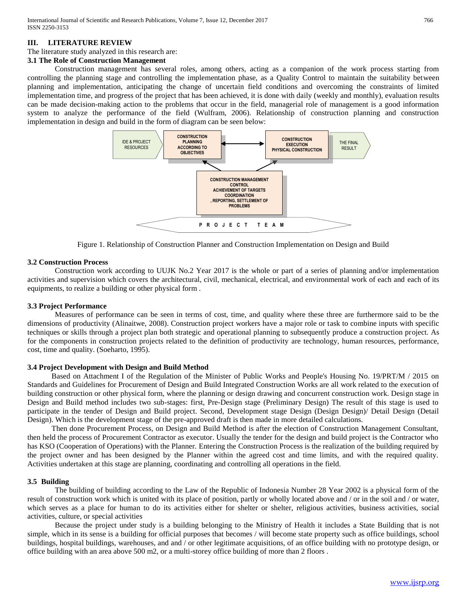# **III. LITERATURE REVIEW**

## The literature study analyzed in this research are:

# **3.1 The Role of Construction Management**

Construction management has several roles, among others, acting as a companion of the work process starting from controlling the planning stage and controlling the implementation phase, as a Quality Control to maintain the suitability between planning and implementation, anticipating the change of uncertain field conditions and overcoming the constraints of limited implementation time, and progress of the project that has been achieved, it is done with daily (weekly and monthly), evaluation results can be made decision-making action to the problems that occur in the field, managerial role of management is a good information system to analyze the performance of the field (Wulfram, 2006). Relationship of construction planning and construction implementation in design and build in the form of diagram can be seen below:



Figure 1. Relationship of Construction Planner and Construction Implementation on Design and Build

## **3.2 Construction Process**

Construction work according to UUJK No.2 Year 2017 is the whole or part of a series of planning and/or implementation activities and supervision which covers the architectural, civil, mechanical, electrical, and environmental work of each and each of its equipments, to realize a building or other physical form .

# **3.3 Project Performance**

Measures of performance can be seen in terms of cost, time, and quality where these three are furthermore said to be the dimensions of productivity (Alinaitwe, 2008). Construction project workers have a major role or task to combine inputs with specific techniques or skills through a project plan both strategic and operational planning to subsequently produce a construction project. As for the components in construction projects related to the definition of productivity are technology, human resources, performance, cost, time and quality. (Soeharto, 1995).

# **3.4 Project Development with Design and Build Method**

Based on Attachment I of the Regulation of the Minister of Public Works and People's Housing No. 19/PRT/M / 2015 on Standards and Guidelines for Procurement of Design and Build Integrated Construction Works are all work related to the execution of building construction or other physical form, where the planning or design drawing and concurrent construction work. Design stage in Design and Build method includes two sub-stages: first, Pre-Design stage (Preliminary Design) The result of this stage is used to participate in the tender of Design and Build project. Second, Development stage Design (Design Design)/ Detail Design (Detail Design). Which is the development stage of the pre-approved draft is then made in more detailed calculations.

Then done Procurement Process, on Design and Build Method is after the election of Construction Management Consultant, then held the process of Procurement Contractor as executor. Usually the tender for the design and build project is the Contractor who has KSO (Cooperation of Operations) with the Planner. Entering the Construction Process is the realization of the building required by the project owner and has been designed by the Planner within the agreed cost and time limits, and with the required quality. Activities undertaken at this stage are planning, coordinating and controlling all operations in the field.

## **3.5 Building**

The building of building according to the Law of the Republic of Indonesia Number 28 Year 2002 is a physical form of the result of construction work which is united with its place of position, partly or wholly located above and / or in the soil and / or water, which serves as a place for human to do its activities either for shelter or shelter, religious activities, business activities, social activities, culture, or special activities

Because the project under study is a building belonging to the Ministry of Health it includes a State Building that is not simple, which in its sense is a building for official purposes that becomes / will become state property such as office buildings, school buildings, hospital buildings, warehouses, and and / or other legitimate acquisitions, of an office building with no prototype design, or office building with an area above 500 m2, or a multi-storey office building of more than 2 floors .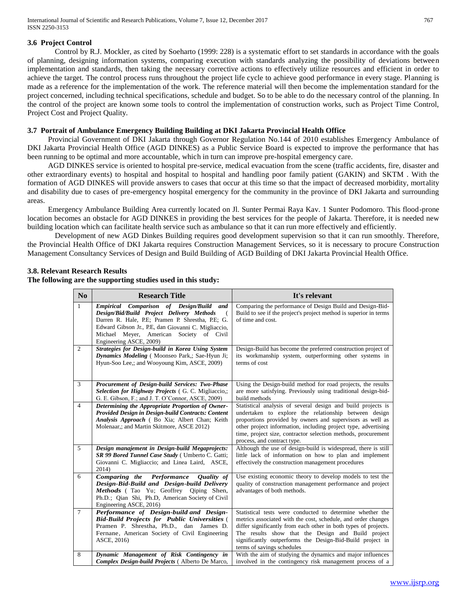International Journal of Scientific and Research Publications, Volume 7, Issue 12, December 2017 767 ISSN 2250-3153

## **3.6 Project Control**

Control by R.J. Mockler, as cited by Soeharto (1999: 228) is a systematic effort to set standards in accordance with the goals of planning, designing information systems, comparing execution with standards analyzing the possibility of deviations between implementation and standards, then taking the necessary corrective actions to effectively utilize resources and efficient in order to achieve the target. The control process runs throughout the project life cycle to achieve good performance in every stage. Planning is made as a reference for the implementation of the work. The reference material will then become the implementation standard for the project concerned, including technical specifications, schedule and budget. So to be able to do the necessary control of the planning. In the control of the project are known some tools to control the implementation of construction works, such as Project Time Control, Project Cost and Project Quality.

# **3.7 Portrait of Ambulance Emergency Building Building at DKI Jakarta Provincial Health Office**

Provincial Government of DKI Jakarta through Governor Regulation No.144 of 2010 establishes Emergency Ambulance of DKI Jakarta Provincial Health Office (AGD DINKES) as a Public Service Board is expected to improve the performance that has been running to be optimal and more accountable, which in turn can improve pre-hospital emergency care.

AGD DINKES service is oriented to hospital pre-service, medical evacuation from the scene (traffic accidents, fire, disaster and other extraordinary events) to hospital and hospital to hospital and handling poor family patient (GAKIN) and SKTM . With the formation of AGD DINKES will provide answers to cases that occur at this time so that the impact of decreased morbidity, mortality and disability due to cases of pre-emergency hospital emergency for the community in the province of DKI Jakarta and surrounding areas.

Emergency Ambulance Building Area currently located on Jl. Sunter Permai Raya Kav. 1 Sunter Podomoro. This flood-prone location becomes an obstacle for AGD DINKES in providing the best services for the people of Jakarta. Therefore, it is needed new building location which can facilitate health service such as ambulance so that it can run more effectively and efficiently.

Development of new AGD Dinkes Building requires good development supervision so that it can run smoothly. Therefore, the Provincial Health Office of DKI Jakarta requires Construction Management Services, so it is necessary to procure Construction Management Consultancy Services of Design and Build Building of AGD Building of DKI Jakarta Provincial Health Office.

## **3.8. Relevant Research Results**

## **The following are the supporting studies used in this study:**

| N <sub>0</sub> | <b>Research Title</b>                                                                                                                                                                                                                                                              | It's relevant                                                                                                                                                                                                                                                                                                                                        |
|----------------|------------------------------------------------------------------------------------------------------------------------------------------------------------------------------------------------------------------------------------------------------------------------------------|------------------------------------------------------------------------------------------------------------------------------------------------------------------------------------------------------------------------------------------------------------------------------------------------------------------------------------------------------|
| 1              | Comparison of Design/Build and<br><b>Empirical</b><br>Design/Bid/Build Project Delivery Methods<br>Darren R. Hale, P.E; Pramen P. Shrestha, P.E; G.<br>Edward Gibson Jr., P.E., dan Giovanni C. Migliaccio,<br>Michael Meyer, American Society of Civil<br>Engineering ASCE, 2009) | Comparing the performance of Design Build and Design-Bid-<br>Build to see if the project's project method is superior in terms<br>of time and cost.                                                                                                                                                                                                  |
| $\overline{c}$ | Strategies for Design-build in Korea Using System<br>Dynamics Modeling (Moonseo Park,; Sae-Hyun Ji;<br>Hyun-Soo Lee,; and Wooyoung Kim, ASCE, 2009)                                                                                                                                | Design-Build has become the preferred construction project of<br>its workmanship system, outperforming other systems in<br>terms of cost                                                                                                                                                                                                             |
| 3              | Procurement of Design-build Services: Two-Phase<br>Selection for Highway Projects (G. C. Migliaccio,;<br>G. E. Gibson, F.; and J. T. O'Connor, ASCE, 2009)                                                                                                                         | Using the Design-build method for road projects, the results<br>are more satisfying. Previously using traditional design-bid-<br>build methods                                                                                                                                                                                                       |
| $\overline{4}$ | Determining the Appropriate Proportion of Owner-<br>Provided Design in Design-build Contracts: Content<br>Analysis Approach (Bo Xia; Albert Chan; Keith<br>Molenaar,; and Martin Skitmore, ASCE 2012)                                                                              | Statistical analysis of several design and build projects is<br>undertaken to explore the relationship between design<br>proportions provided by owners and supervisors as well as<br>other project information, including project type, advertising<br>time, project size, contractor selection methods, procurement<br>process, and contract type. |
| 5              | Design manajement in Design-build Megaprojects:<br>SR 99 Bored Tunnel Case Study ( Umberto C. Gatti;<br>Giovanni C. Migliaccio; and Linea Laird, ASCE,<br>2014)                                                                                                                    | Although the use of design-build is widespread, there is still<br>little lack of information on how to plan and implement<br>effectively the construction management procedures                                                                                                                                                                      |
| 6              | Comparing the Performance<br><b>Ouality</b> of<br>Design-Bid-Build and Design-build Delivery<br>Methods (Tao Yu; Geoffrey Qiping Shen,<br>Ph.D.; Qian Shi, Ph.D, American Society of Civil<br>Engineering ASCE, 2016)                                                              | Use existing economic theory to develop models to test the<br>quality of construction management performance and project<br>advantages of both methods.                                                                                                                                                                                              |
| $\tau$         | Performance of Design-build and Design-<br><b>Bid-Build Projects for Public Universities (</b><br>Pramen P. Shrestha, Ph.D., dan James D.<br>Fernane, American Society of Civil Engineering<br>ASCE, 2016)                                                                         | Statistical tests were conducted to determine whether the<br>metrics associated with the cost, schedule, and order changes<br>differ significantly from each other in both types of projects.<br>The results show that the Design and Build project<br>significantly outperforms the Design-Bid-Build project in<br>terms of savings schedules       |
| 8              | Dynamic Management of Risk Contingency in<br>Complex Design-build Projects (Alberto De Marco,                                                                                                                                                                                      | With the aim of studying the dynamics and major influences<br>involved in the contingency risk management process of a                                                                                                                                                                                                                               |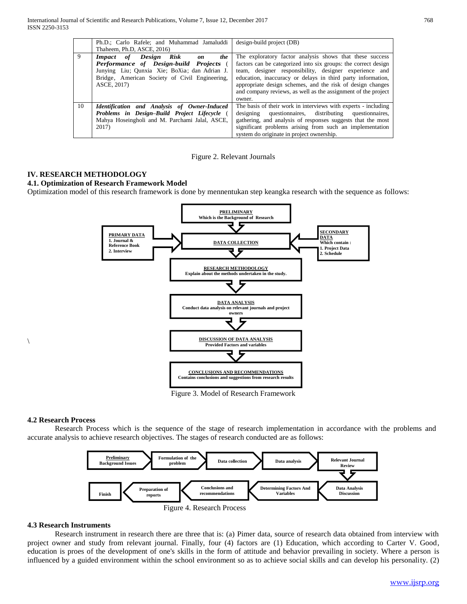|    | Ph.D.; Carlo Rafele; and Muhammad Jamaluddi    | design-build project (DB)                                      |  |  |
|----|------------------------------------------------|----------------------------------------------------------------|--|--|
|    | Thaheem, Ph.D. ASCE, 2016)                     |                                                                |  |  |
| 9  | <b>Impact</b> of Design Risk<br>the<br>on      | The exploratory factor analysis shows that these success       |  |  |
|    | Performance of Design-build Projects (         | factors can be categorized into six groups: the correct design |  |  |
|    | Junying Liu; Qunxia Xie; BoXia; dan Adrian J.  | team, designer responsibility, designer experience and         |  |  |
|    | Bridge, American Society of Civil Engineering, | education, inaccuracy or delays in third party information,    |  |  |
|    | ASCE, 2017)                                    | appropriate design schemes, and the risk of design changes     |  |  |
|    |                                                | and company reviews, as well as the assignment of the project  |  |  |
|    |                                                | owner.                                                         |  |  |
| 10 | Identification and Analysis of Owner-Induced   | The basis of their work in interviews with experts - including |  |  |
|    | Problems in Design-Build Project Lifecycle (   | designing questionnaires, distributing questionnaires,         |  |  |
|    | Mahya Hoseingholi and M. Parchami Jalal, ASCE, | gathering, and analysis of responses suggests that the most    |  |  |
|    | 2017)                                          | significant problems arising from such an implementation       |  |  |
|    |                                                | system do originate in project ownership.                      |  |  |

Figure 2. Relevant Journals

# **IV. RESEARCH METHODOLOGY**

## **4.1. Optimization of Research Framework Model**

Optimization model of this research framework is done by mennentukan step keangka research with the sequence as follows:



Figure 3. Model of Research Framework

## **4.2 Research Process**

 $\setminus$ 

Research Process which is the sequence of the stage of research implementation in accordance with the problems and accurate analysis to achieve research objectives. The stages of research conducted are as follows:



### **4.3 Research Instruments**

Research instrument in research there are three that is: (a) Pimer data, source of research data obtained from interview with project owner and study from relevant journal. Finally, four (4) factors are (1) Education, which according to Carter V. Good, education is proes of the development of one's skills in the form of attitude and behavior prevailing in society. Where a person is influenced by a guided environment within the school environment so as to achieve social skills and can develop his personality. (2)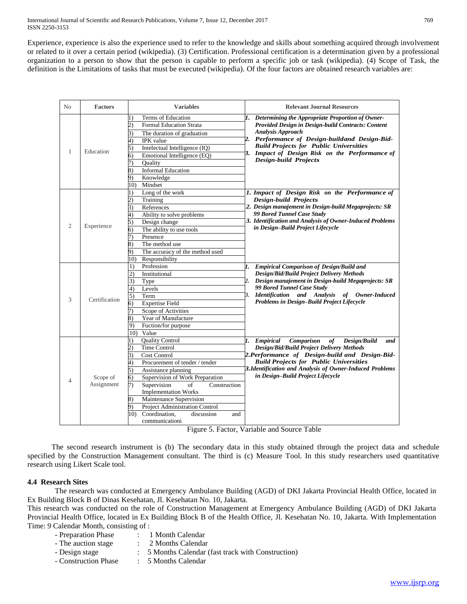International Journal of Scientific and Research Publications, Volume 7, Issue 12, December 2017 769 ISSN 2250-3153

Experience, experience is also the experience used to refer to the knowledge and skills about something acquired through involvement or related to it over a certain period (wikipedia). (3) Certification. Professional certification is a determination given by a professional organization to a person to show that the person is capable to perform a specific job or task (wikipedia). (4) Scope of Task, the definition is the Limitations of tasks that must be executed (wikipedia). Of the four factors are obtained research variables are:

| N <sub>0</sub> | <b>Factors</b>         | <b>Variables</b>                                                                                                                                                                                                                                                                                                                                                                                                                      | <b>Relevant Journal Resources</b>                                                                                                                                                                                                                                                                                            |
|----------------|------------------------|---------------------------------------------------------------------------------------------------------------------------------------------------------------------------------------------------------------------------------------------------------------------------------------------------------------------------------------------------------------------------------------------------------------------------------------|------------------------------------------------------------------------------------------------------------------------------------------------------------------------------------------------------------------------------------------------------------------------------------------------------------------------------|
| 1              | Education              | Terms of Education<br>1)<br>2)<br><b>Formal Education Strata</b><br>3)<br>The duration of graduation<br>IPK value<br>4)<br>5)<br>Intelectual Intelligence (IQ)<br>Emotional Intelligence (EO)<br>6)<br>Ouality<br>7)<br><b>Informal Education</b><br>8)<br>Knowledge<br>9)<br>Mindset<br>10)                                                                                                                                          | Determining the Appropriate Proportion of Owner-<br>1.<br>Provided Design in Design-build Contracts: Content<br><b>Analysis Approach</b><br>2. Performance of Design-buildand Design-Bid-<br><b>Build Projects for Public Universities</b><br>3. Impact of Design Risk on the Performance of<br><b>Design-build Projects</b> |
| $\overline{2}$ | Experience             | Long of the work<br>l)<br>$^{2)}$<br>Training<br>3)<br>References<br>Ability to solve problems<br>4)<br>5)<br>Design change<br>The ability to use tools<br>6)<br>7)<br>Presence<br>8)<br>The method use<br>The accuracy of the method used<br>9)<br>Responsibility<br>10)                                                                                                                                                             | 1. Impact of Design Risk on the Performance of<br><b>Design-build Projects</b><br>2. Design manajement in Design-build Megaprojects: SR<br>99 Bored Tunnel Case Study<br>3. Identification and Analysis of Owner-Induced Problems<br>in Design-Build Project Lifecycle                                                       |
| 3              | Certification          | Profession<br>1)<br>2)<br>Institutional<br>3)<br>Type<br>4)<br>Levels<br>5)<br>Term<br><b>Expertise Field</b><br>6)<br>Scope of Activities<br>Year of Manufacture<br>8)<br>Fuction/for purpose<br>9)<br>10)<br>Value                                                                                                                                                                                                                  | 1.<br><b>Empirical Comparison of Design/Build and</b><br><b>Design/Bid/Build Project Delivery Methods</b><br>2. Design manajement in Design-build Megaprojects: SR<br>99 Bored Tunnel Case Study<br>Identification and Analysis of Owner-Induced<br>3.<br>Problems in Design-Build Project Lifecycle                         |
| $\overline{4}$ | Scope of<br>Assignment | <b>Quality Control</b><br>$_{\rm 1)}$<br><b>Time Control</b><br>$\overline{2}$<br><b>Cost Control</b><br>3)<br>4)<br>Procurement of tender / tender<br>5)<br>Assistance planning<br>6)<br>Supervision of Work Preparation<br>Supervision<br>Construction<br>7)<br>of<br><b>Implementation Works</b><br>Maintenance Supervision<br>8)<br>Project Administration Control<br>Coordination.<br>10)<br>discussion<br>and<br>communicationi | 1.<br>of<br><b>Empirical</b><br>Comparison<br>Design/Build<br>and<br><b>Design/Bid/Build Project Delivery Methods</b><br>2. Performance of Design-build and Design-Bid-<br><b>Build Projects for Public Universities</b><br>3. Identification and Analysis of Owner-Induced Problems<br>in Design-Build Project Lifecycle    |

Figure 5. Factor, Variable and Source Table

The second research instrument is (b) The secondary data in this study obtained through the project data and schedule specified by the Construction Management consultant. The third is (c) Measure Tool. In this study researchers used quantitative research using Likert Scale tool.

# **4.4 Research Sites**

The research was conducted at Emergency Ambulance Building (AGD) of DKI Jakarta Provincial Health Office, located in Ex Building Block B of Dinas Kesehatan, Jl. Kesehatan No. 10, Jakarta.

This research was conducted on the role of Construction Management at Emergency Ambulance Building (AGD) of DKI Jakarta Provincial Health Office, located in Ex Building Block B of the Health Office, Jl. Kesehatan No. 10, Jakarta. With Implementation Time: 9 Calendar Month, consisting of :

- Preparation Phase : 1 Month Calendar
	-
- The auction stage : 2 Months Calendar
- Design stage : 5 Months Calendar (fast track with Construction)
- Construction Phase : 5 Months Calendar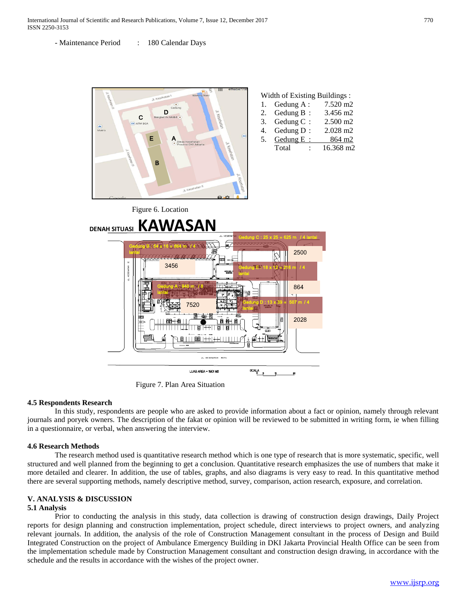International Journal of Scientific and Research Publications, Volume 7, Issue 12, December 2017 770 ISSN 2250-3153

- Maintenance Period : 180 Calendar Days



Figure 7. Plan Area Situation

## **4.5 Respondents Research**

In this study, respondents are people who are asked to provide information about a fact or opinion, namely through relevant journals and poryek owners. The description of the fakat or opinion will be reviewed to be submitted in writing form, ie when filling in a questionnaire, or verbal, when answering the interview.

## **4.6 Research Methods**

The research method used is quantitative research method which is one type of research that is more systematic, specific, well structured and well planned from the beginning to get a conclusion. Quantitative research emphasizes the use of numbers that make it more detailed and clearer. In addition, the use of tables, graphs, and also diagrams is very easy to read. In this quantitative method there are several supporting methods, namely descriptive method, survey, comparison, action research, exposure, and correlation.

### **V. ANALYSIS & DISCUSSION 5.1 Analysis**

Prior to conducting the analysis in this study, data collection is drawing of construction design drawings, Daily Project reports for design planning and construction implementation, project schedule, direct interviews to project owners, and analyzing relevant journals. In addition, the analysis of the role of Construction Management consultant in the process of Design and Build Integrated Construction on the project of Ambulance Emergency Building in DKI Jakarta Provincial Health Office can be seen from the implementation schedule made by Construction Management consultant and construction design drawing, in accordance with the schedule and the results in accordance with the wishes of the project owner.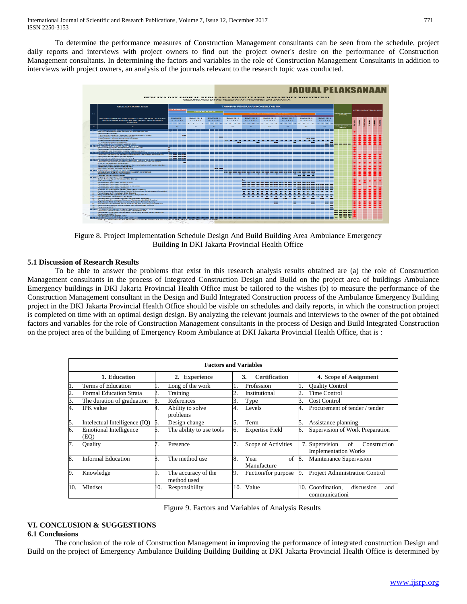To determine the performance measures of Construction Management consultants can be seen from the schedule, project daily reports and interviews with project owners to find out the project owner's desire on the performance of Construction Management consultants. In determining the factors and variables in the role of Construction Management Consultants in addition to interviews with project owners, an analysis of the journals relevant to the research topic was conducted.



Figure 8. Project Implementation Schedule Design And Build Building Area Ambulance Emergency Building In DKI Jakarta Provincial Health Office

# **5.1 Discussion of Research Results**

To be able to answer the problems that exist in this research analysis results obtained are (a) the role of Construction Management consultants in the process of Integrated Construction Design and Build on the project area of buildings Ambulance Emergency buildings in DKI Jakarta Provincial Health Office must be tailored to the wishes (b) to measure the performance of the Construction Management consultant in the Design and Build Integrated Construction process of the Ambulance Emergency Building project in the DKI Jakarta Provincial Health Office should be visible on schedules and daily reports, in which the construction project is completed on time with an optimal design design. By analyzing the relevant journals and interviews to the owner of the pot obtained factors and variables for the role of Construction Management consultants in the process of Design and Build Integrated Construction on the project area of the building of Emergency Room Ambulance at DKI Jakarta Provincial Health Office, that is :

| <b>Factors and Variables</b> |                                       |    |                                    |     |                            |    |                                                                     |  |  |
|------------------------------|---------------------------------------|----|------------------------------------|-----|----------------------------|----|---------------------------------------------------------------------|--|--|
|                              | 1. Education                          |    | 2. Experience                      |     | <b>Certification</b><br>3. |    | 4. Scope of Assignment                                              |  |  |
| 1.                           | Terms of Education                    |    | Long of the work                   |     | Profession                 |    | <b>Ouality Control</b>                                              |  |  |
| $rac{2}{3}$ .                | <b>Formal Education Strata</b>        |    | Training                           | 2.  | Institutional              | 2. | <b>Time Control</b>                                                 |  |  |
|                              | The duration of graduation            |    | References                         | 3.  | Type                       | 3. | <b>Cost Control</b>                                                 |  |  |
| 4.                           | <b>IPK</b> value                      |    | Ability to solve<br>problems       | 4.  | Levels                     | 4. | Procurement of tender / tender                                      |  |  |
| 5.                           | Intelectual Intelligence (IQ)         | D. | Design change                      | 5.  | Term                       | 5. | Assistance planning                                                 |  |  |
| б.                           | <b>Emotional Intelligence</b><br>(EQ) | D. | The ability to use tools           | 6.  | <b>Expertise Field</b>     | 6. | Supervision of Work Preparation                                     |  |  |
| 7.                           | Ouality                               |    | Presence                           | 7.  | Scope of Activities        |    | 7. Supervision<br>οf<br>Construction<br><b>Implementation Works</b> |  |  |
| 8.                           | <b>Informal Education</b>             |    | The method use                     | 8.  | of<br>Year<br>Manufacture  | 8. | Maintenance Supervision                                             |  |  |
| 9.                           | Knowledge                             |    | The accuracy of the<br>method used | 9.  | Fuction/for purpose        | 9. | Project Administration Control                                      |  |  |
| 10.                          | Mindset                               | 0. | Responsibility                     | 10. | Value                      |    | 10. Coordination,<br>discussion<br>and<br>communicationi            |  |  |

Figure 9. Factors and Variables of Analysis Results

# **VI. CONCLUSION & SUGGESTIONS**

# **6.1 Conclusions**

The conclusion of the role of Construction Management in improving the performance of integrated construction Design and Build on the project of Emergency Ambulance Building Building Building at DKI Jakarta Provincial Health Office is determined by